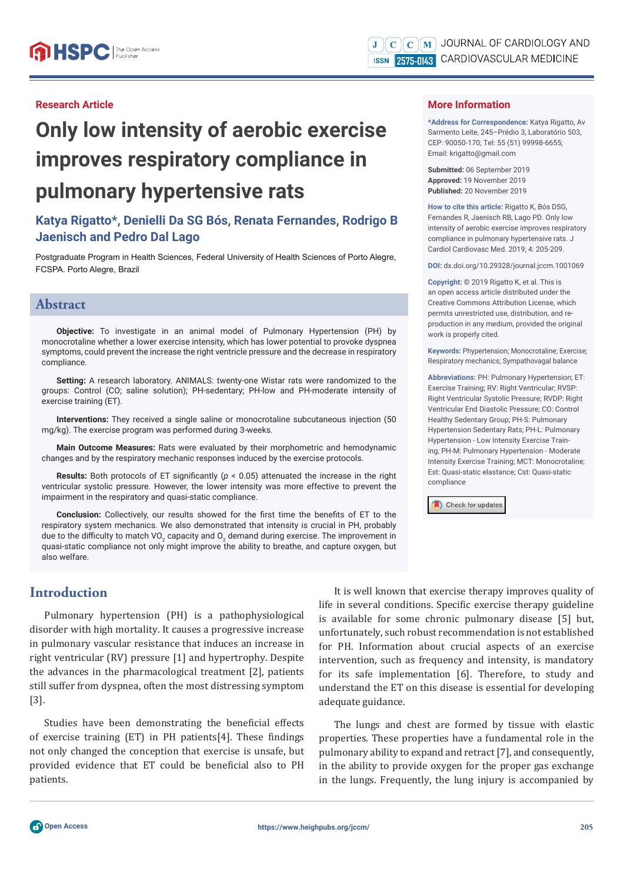## **Research Article**

# **Only low intensity of aerobic exercise improves respiratory compliance in pulmonary hypertensive rats**

# **Katya Rigatto\*, Denielli Da SG Bós, Renata Fernandes, Rodrigo B Jaenisch and Pedro Dal Lago**

Postgraduate Program in Health Sciences, Federal University of Health Sciences of Porto Alegre, FCSPA. Porto Alegre, Brazil

## **Abstract**

**Objective:** To investigate in an animal model of Pulmonary Hypertension (PH) by monocrotaline whether a lower exercise intensity, which has lower potential to provoke dyspnea symptoms, could prevent the increase the right ventricle pressure and the decrease in respiratory compliance.

**Setting:** A research laboratory. ANIMALS: twenty-one Wistar rats were randomized to the groups: Control (CO; saline solution); PH-sedentary; PH-low and PH-moderate intensity of exercise training (ET).

**Interventions:** They received a single saline or monocrotaline subcutaneous injection (50 mg/kg). The exercise program was performed during 3-weeks.

**Main Outcome Measures:** Rats were evaluated by their morphometric and hemodynamic changes and by the respiratory mechanic responses induced by the exercise protocols.

**Results:** Both protocols of ET significantly ( $p < 0.05$ ) attenuated the increase in the right ventricular systolic pressure. However, the lower intensity was more effective to prevent the impairment in the respiratory and quasi-static compliance.

**Conclusion:** Collectively, our results showed for the first time the benefits of ET to the respiratory system mechanics. We also demonstrated that intensity is crucial in PH, probably due to the difficulty to match VO<sub>2</sub> capacity and O<sub>2</sub> demand during exercise. The improvement in quasi-static compliance not only might improve the ability to breathe, and capture oxygen, but also welfare.

# **Introduction**

Pulmonary hypertension (PH) is a pathophysiological disorder with high mortality. It causes a progressive increase in pulmonary vascular resistance that induces an increase in right ventricular (RV) pressure [1] and hypertrophy. Despite the advances in the pharmacological treatment [2], patients still suffer from dyspnea, often the most distressing symptom [3].

Studies have been demonstrating the beneficial effects of exercise training  $(ET)$  in PH patients $[4]$ . These findings not only changed the conception that exercise is unsafe, but provided evidence that ET could be beneficial also to PH patients.

It is well known that exercise therapy improves quality of life in several conditions. Specific exercise therapy guideline is available for some chronic pulmonary disease [5] but, unfortunately, such robust recommendation is not established for PH. Information about crucial aspects of an exercise intervention, such as frequency and intensity, is mandatory for its safe implementation [6]. Therefore, to study and understand the ET on this disease is essential for developing adequate guidance.

The lungs and chest are formed by tissue with elastic properties. These properties have a fundamental role in the pulmonary ability to expand and retract [7], and consequently, in the ability to provide oxygen for the proper gas exchange in the lungs. Frequently, the lung injury is accompanied by

## **More Information**

**\*Address for Correspondence:** Katya Rigatto, Av Sarmento Leite, 245–Prédio 3, Laboratório 503, CEP: 90050-170; Tel: 55 (51) 99998-6655; Email: krigatto@gmail.com

**Submitted:** 06 September 2019 **Approved:** 19 November 2019 **Published:** 20 November 2019

**How to cite this article:** Rigatto K, Bós DSG, Fernandes R, Jaenisch RB, Lago PD. Only low intensity of aerobic exercise improves respiratory compliance in pulmonary hypertensive rats. J Cardiol Cardiovasc Med. 2019; 4: 205-209.

**DOI:** dx.doi.org/10.29328/journal.jccm.1001069

**Copyright: ©** 2019 Rigatto K, et al. This is an open access article distributed under the Creative Commons Attribution License, which permits unrestricted use, distribution, and reproduction in any medium, provided the original work is properly cited.

**Keywords:** Phypertension; Monocrotaline; Exercise; Respiratory mechanics; Sympathovagal balance

**Abbreviations:** PH: Pulmonary Hypertension; ET: Exercise Training; RV: Right Ventricular; RVSP: Right Ventricular Systolic Pressure; RVDP: Right Ventricular End Diastolic Pressure; CO: Control Healthy Sedentary Group; PH-S: Pulmonary Hypertension Sedentary Rats; PH-L: Pulmonary Hypertension - Low Intensity Exercise Training; PH-M: Pulmonary Hypertension - Moderate Intensity Exercise Training; MCT: Monocrotaline; Est: Quasi-static elastance; Cst: Quasi-static compliance



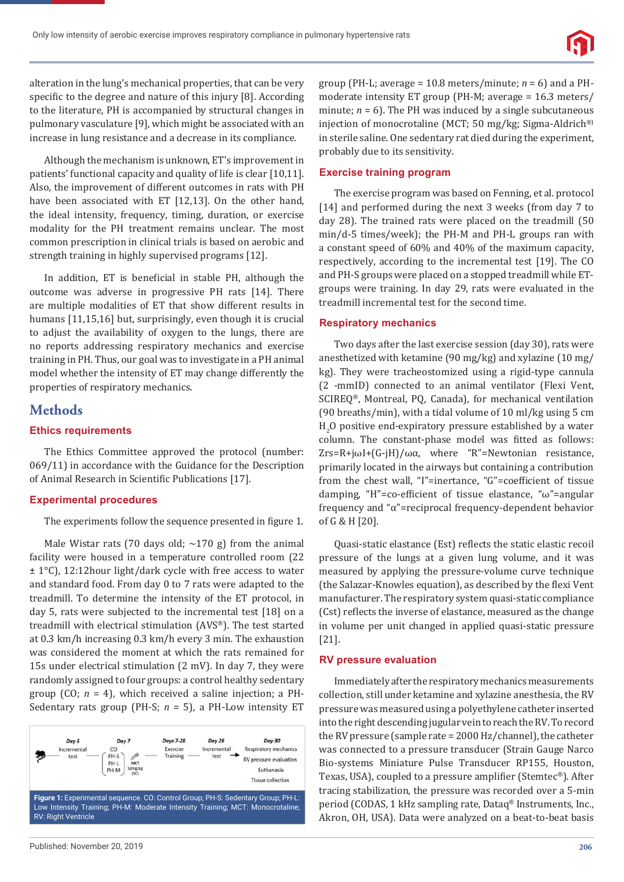

alteration in the lung's mechanical properties, that can be very specific to the degree and nature of this injury [8]. According to the literature, PH is accompanied by structural changes in pulmonary vasculature [9], which might be associated with an increase in lung resistance and a decrease in its compliance.

Although the mechanism is unknown, ET's improvement in patients' functional capacity and quality of life is clear [10,11]. Also, the improvement of different outcomes in rats with PH have been associated with ET [12,13]. On the other hand, the ideal intensity, frequency, timing, duration, or exercise modality for the PH treatment remains unclear. The most common prescription in clinical trials is based on aerobic and strength training in highly supervised programs [12].

In addition, ET is beneficial in stable PH, although the outcome was adverse in progressive PH rats [14]. There are multiple modalities of ET that show different results in humans [11,15,16] but, surprisingly, even though it is crucial to adjust the availability of oxygen to the lungs, there are no reports addressing respiratory mechanics and exercise training in PH. Thus, our goal was to investigate in a PH animal model whether the intensity of ET may change differently the properties of respiratory mechanics.

## **Methods**

## **Ethics requirements**

The Ethics Committee approved the protocol (number: 069/11) in accordance with the Guidance for the Description of Animal Research in Scientific Publications [17].

#### **Experimental procedures**

The experiments follow the sequence presented in figure 1.

Male Wistar rats (70 days old;  $\sim$ 170 g) from the animal facility were housed in a temperature controlled room (22 ± 1°C), 12:12hour light/dark cycle with free access to water and standard food. From day 0 to 7 rats were adapted to the treadmill. To determine the intensity of the ET protocol, in day 5, rats were subjected to the incremental test [18] on a treadmill with electrical stimulation (AVS®). The test started at 0.3 km/h increasing 0.3 km/h every 3 min. The exhaustion was considered the moment at which the rats remained for 15s under electrical stimulation (2 mV). In day 7, they were randomly assigned to four groups: a control healthy sedentary group (CO; *n* = 4), which received a saline injection; a PH-Sedentary rats group (PH-S; *n* = 5), a PH-Low intensity ET



group (PH-L; average = 10.8 meters/minute; *n* = 6) and a PHmoderate intensity ET group (PH-M; average = 16.3 meters/ minute;  $n = 6$ ). The PH was induced by a single subcutaneous injection of monocrotaline (MCT; 50 mg/kg; Sigma-Aldrich®) in sterile saline. One sedentary rat died during the experiment, probably due to its sensitivity.

#### **Exercise training program**

The exercise program was based on Fenning, et al. protocol [14] and performed during the next 3 weeks (from day 7 to day 28). The trained rats were placed on the treadmill (50 min/d-5 times/week); the PH-M and PH-L groups ran with a constant speed of 60% and 40% of the maximum capacity, respectively, according to the incremental test [19]. The CO and PH-S groups were placed on a stopped treadmill while ETgroups were training. In day 29, rats were evaluated in the treadmill incremental test for the second time.

#### **Respiratory mechanics**

Two days after the last exercise session (day 30), rats were anesthetized with ketamine (90 mg/kg) and xylazine (10 mg/ kg). They were tracheostomized using a rigid-type cannula (2 -mmID) connected to an animal ventilator (Flexi Vent, SCIREQ®, Montreal, PQ, Canada), for mechanical ventilation (90 breaths/min), with a tidal volume of 10 ml/kg using 5 cm  $\rm H_2O$  positive end-expiratory pressure established by a water column. The constant-phase model was fitted as follows: Zrs=R+jωI+(G-jH)/ωα, where "R"=Newtonian resistance, primarily located in the airways but containing a contribution from the chest wall, "I"=inertance, "G"=coefficient of tissue damping, "H"=co-efficient of tissue elastance, "ω"=angular frequency and "α"=reciprocal frequency-dependent behavior of G & H [20].

Quasi-static elastance (Est) reflects the static elastic recoil pressure of the lungs at a given lung volume, and it was measured by applying the pressure-volume curve technique (the Salazar-Knowles equation), as described by the flexi Vent manufacturer. The respiratory system quasi-static compliance (Cst) reflects the inverse of elastance, measured as the change in volume per unit changed in applied quasi-static pressure [21].

#### **RV pressure evaluation**

Immediately after the respiratory mechanics measurements collection, still under ketamine and xylazine anesthesia, the RV pressure was measured using a polyethylene catheter inserted into the right descending jugular vein to reach the RV. To record the RV pressure (sample rate = 2000 Hz/channel), the catheter was connected to a pressure transducer (Strain Gauge Narco Bio-systems Miniature Pulse Transducer RP155, Houston, Texas, USA), coupled to a pressure amplifier (Stemtec®). After tracing stabilization, the pressure was recorded over a 5-min period (CODAS, 1 kHz sampling rate, Dataq® Instruments, Inc., Akron, OH, USA). Data were analyzed on a beat-to-beat basis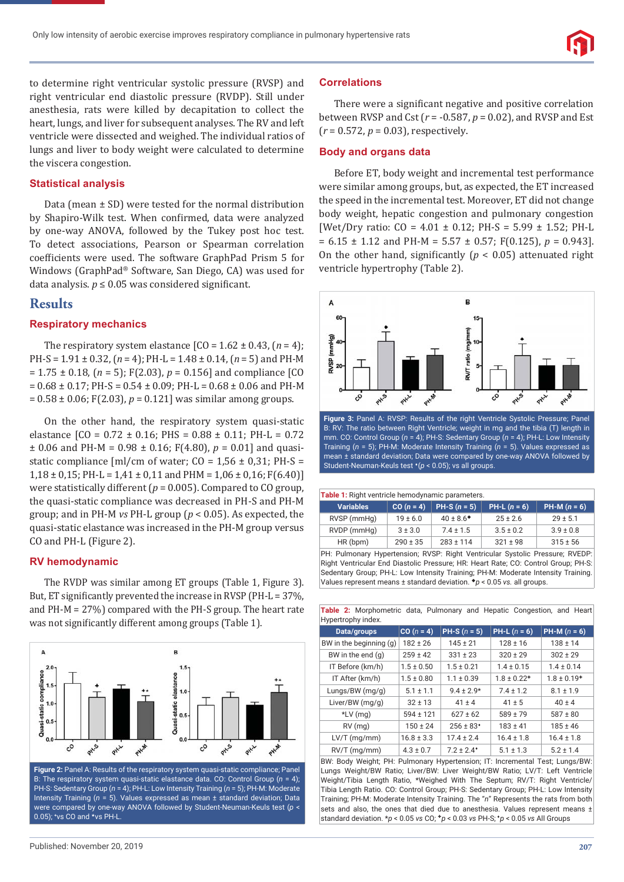to determine right ventricular systolic pressure (RVSP) and right ventricular end diastolic pressure (RVDP). Still under anesthesia, rats were killed by decapitation to collect the heart, lungs, and liver for subsequent analyses. The RV and left ventricle were dissected and weighed. The individual ratios of lungs and liver to body weight were calculated to determine the viscera congestion.

## **Statistical analysis**

Data (mean ± SD) were tested for the normal distribution by Shapiro-Wilk test. When confirmed, data were analyzed by one-way ANOVA, followed by the Tukey post hoc test. To detect associations, Pearson or Spearman correlation coefficients were used. The software GraphPad Prism 5 for Windows (GraphPad® Software, San Diego, CA) was used for data analysis.  $p \le 0.05$  was considered significant.

#### **Results**

#### **Respiratory mechanics**

The respiratory system elastance  $[CO = 1.62 \pm 0.43, (n = 4);$ PH-S = 1.91 ± 0.32, (*n* = 4); PH-L = 1.48 ± 0.14, (*n* = 5) and PH-M = 1.75 ± 0.18, (*n* = 5); F(2.03), *p* = 0.156] and compliance [CO  $= 0.68 \pm 0.17$ ; PH-S = 0.54  $\pm$  0.09; PH-L = 0.68  $\pm$  0.06 and PH-M  $= 0.58 \pm 0.06$ ; F(2.03),  $p = 0.121$  was similar among groups.

On the other hand, the respiratory system quasi-static elastance  $[CO = 0.72 \pm 0.16$ ; PHS =  $0.88 \pm 0.11$ ; PH-L = 0.72  $\pm$  0.06 and PH-M = 0.98  $\pm$  0.16; F(4.80),  $p = 0.01$ ] and quasistatic compliance  $[m]/cm$  of water; CO = 1,56  $\pm$  0,31; PH-S =  $1,18 \pm 0,15$ ; PH-L = 1,41  $\pm 0,11$  and PHM = 1,06  $\pm 0,16$ ; F(6.40)] were statistically different ( $p = 0.005$ ). Compared to CO group, the quasi-static compliance was decreased in PH-S and PH-M group; and in PH-M *vs* PH-L group (*p* < 0.05). As expected, the quasi-static elastance was increased in the PH-M group versus CO and PH-L (Figure 2).

#### **RV hemodynamic**

The RVDP was similar among ET groups (Table 1, Figure 3). But, ET significantly prevented the increase in RVSP (PH- $L = 37\%$ , and PH-M = 27%) compared with the PH-S group. The heart rate was not significantly different among groups (Table 1).



B: The respiratory system quasi-static elastance data. CO: Control Group (*n* = 4); PH-S: Sedentary Group (*n* = 4); PH-L: Low Intensity Training (*n* = 5); PH-M: Moderate Intensity Training (*n* = 5). Values expressed as mean ± standard deviation; Data were compared by one-way ANOVA followed by Student-Neuman-Keuls test (*p* < 0.05); **<sup>+</sup>** vs CO and ★vs PH-L.

#### **Correlations**

There were a significant negative and positive correlation between RVSP and Cst (*r* = -0.587, *p* = 0.02), and RVSP and Est (*r* = 0.572, *p* = 0.03), respectively.

#### **Body and organs data**

Before ET, body weight and incremental test performance were similar among groups, but, as expected, the ET increased the speed in the incremental test. Moreover, ET did not change body weight, hepatic congestion and pulmonary congestion [Wet/Dry ratio:  $CO = 4.01 \pm 0.12$ ; PH-S = 5.99  $\pm$  1.52; PH-L  $= 6.15 \pm 1.12$  and PH-M  $= 5.57 \pm 0.57$ ; F(0.125),  $p = 0.943$ ]. On the other hand, significantly  $(p < 0.05)$  attenuated right ventricle hypertrophy (Table 2).



B: RV: The ratio between Right Ventricle; weight in mg and the tibia (T) length in mm. CO: Control Group (*n* = 4); PH-S: Sedentary Group (*n* = 4); PH-L: Low Intensity Training (*n* = 5); PH-M: Moderate Intensity Training (*n* = 5). Values expressed as mean ± standard deviation; Data were compared by one-way ANOVA followed by Student-Neuman-Keuls test  $*(p < 0.05)$ ; vs all groups.

|  |  |  |  |  |  | Table 1: Right ventricle hemodynamic parameters. |
|--|--|--|--|--|--|--------------------------------------------------|
|--|--|--|--|--|--|--------------------------------------------------|

| <b>Variables</b> | $CO (n = 4)$ | $PH-S (n = 5)$       | $PH-L (n = 6)$ | $PH-M (n = 6)$ |  |  |
|------------------|--------------|----------------------|----------------|----------------|--|--|
| RVSP (mmHg)      | $19 \pm 6.0$ | $40 \pm 8.6^{\circ}$ | $25 \pm 2.6$   | $29 \pm 5.1$   |  |  |
| RVDP (mmHg)      | $3 \pm 3.0$  | $7.4 \pm 1.5$        | $3.5 \pm 0.2$  | $3.9 \pm 0.8$  |  |  |
| HR(bpm)          | $290 \pm 35$ | $283 \pm 114$        | $321 \pm 98$   | $315 \pm 56$   |  |  |
|                  |              |                      |                |                |  |  |

PH: Pulmonary Hypertension; RVSP: Right Ventricular Systolic Pressure; RVEDP: Right Ventricular End Diastolic Pressure; HR: Heart Rate; CO: Control Group; PH-S: Sedentary Group; PH-L: Low Intensity Training; PH-M: Moderate Intensity Training. Values represent means ± standard deviation. *p* < 0.05 *vs.* all groups.

**Table 2:** Morphometric data, Pulmonary and Hepatic Congestion, and Heart Hypertrophy index.

| Data/groups             | $CO (n = 4)$   | <b>PH-S</b> $(n = 5)$     | <b>PH-L</b> $(n = 6)$       | <b>PH-M</b> $(n = 6)$ |
|-------------------------|----------------|---------------------------|-----------------------------|-----------------------|
| BW in the beginning (g) | $182 \pm 26$   | $145 \pm 21$              | $128 \pm 16$                | $138 \pm 14$          |
| BW in the end $(q)$     | $259 \pm 42$   | $331 \pm 23$              | $320 \pm 29$                | $302 \pm 29$          |
| IT Before (km/h)        | $1.5 \pm 0.50$ | $1.5 \pm 0.21$            | $1.4 \pm 0.15$              | $1.4 \pm 0.14$        |
| IT After (km/h)         | $1.5 \pm 0.80$ | $1.1 \pm 0.39$            | $1.8 \pm 0.22$ <sup>+</sup> | $1.8 \pm 0.19+$       |
| Lungs/BW (mg/g)         | $5.1 \pm 1.1$  | $9.4 \pm 2.9*$            | $7.4 \pm 1.2$               | $8.1 \pm 1.9$         |
| Liver/BW (mg/g)         | $32 \pm 13$    | $41 \pm 4$                | $41 \pm 5$                  | $40 \pm 4$            |
| $*LV$ (mg)              | $594 \pm 121$  | $627 \pm 62$              | $589 \pm 79$                | $587 \pm 80$          |
| $RV$ (mg)               | $150 \pm 24$   | $256 \pm 83$ <sup>*</sup> | $183 \pm 41$                | $185 \pm 46$          |
| $LV/T$ (mg/mm)          | $16.8 \pm 3.3$ | $17.4 \pm 2.4$            | $16.4 \pm 1.8$              | $16.4 \pm 1.8$        |
| $RV/T$ (mg/mm)          | $4.3 \pm 0.7$  | $7.2 \pm 2.4^*$           | $5.1 \pm 1.3$               | $5.2 \pm 1.4$         |

BW: Body Weight; PH: Pulmonary Hypertension; IT: Incremental Test; Lungs/BW: Lungs Weight/BW Ratio; Liver/BW: Liver Weight/BW Ratio; LV/T: Left Ventricle Weight/Tibia Length Ratio, \*Weighed With The Septum; RV/T: Right Ventricle/ Tibia Length Ratio. CO: Control Group; PH-S: Sedentary Group; PH-L: Low Intensity Training; PH-M: Moderate Intensity Training. The "*n*" Represents the rats from both sets and also, the ones that died due to anesthesia. Values represent means ± standard deviation. \**p* < 0.05 *vs* CO; ✚*p* < 0.03 *vs* PH-S; *p* < 0.05 *vs* All Groups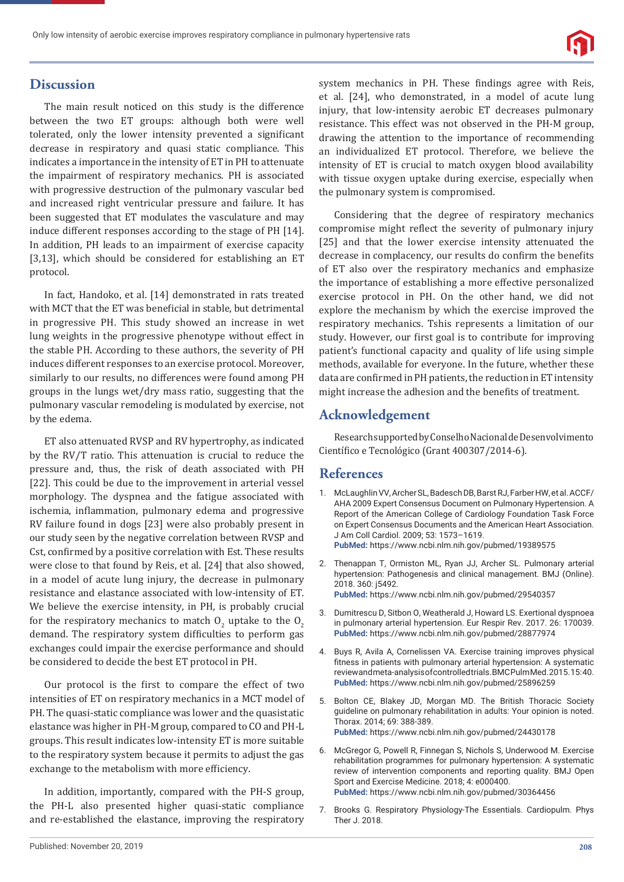

# **Discussion**

The main result noticed on this study is the difference between the two ET groups: although both were well tolerated, only the lower intensity prevented a significant decrease in respiratory and quasi static compliance. This indicates a importance in the intensity of ET in PH to attenuate the impairment of respiratory mechanics. PH is associated with progressive destruction of the pulmonary vascular bed and increased right ventricular pressure and failure. It has been suggested that ET modulates the vasculature and may induce different responses according to the stage of PH [14]. In addition, PH leads to an impairment of exercise capacity [3,13], which should be considered for establishing an ET protocol.

In fact, Handoko, et al. [14] demonstrated in rats treated with MCT that the ET was beneficial in stable, but detrimental in progressive PH. This study showed an increase in wet lung weights in the progressive phenotype without effect in the stable PH. According to these authors, the severity of PH induces different responses to an exercise protocol. Moreover, similarly to our results, no differences were found among PH groups in the lungs wet/dry mass ratio, suggesting that the pulmonary vascular remodeling is modulated by exercise, not by the edema.

ET also attenuated RVSP and RV hypertrophy, as indicated by the RV/T ratio. This attenuation is crucial to reduce the pressure and, thus, the risk of death associated with PH [22]. This could be due to the improvement in arterial vessel morphology. The dyspnea and the fatigue associated with ischemia, inflammation, pulmonary edema and progressive RV failure found in dogs [23] were also probably present in our study seen by the negative correlation between RVSP and Cst, confirmed by a positive correlation with Est. These results were close to that found by Reis, et al. [24] that also showed, in a model of acute lung injury, the decrease in pulmonary resistance and elastance associated with low-intensity of ET. We believe the exercise intensity, in PH, is probably crucial for the respiratory mechanics to match  $0<sub>2</sub>$  uptake to the  $0<sub>2</sub>$ demand. The respiratory system difficulties to perform gas exchanges could impair the exercise performance and should be considered to decide the best ET protocol in PH.

Our protocol is the first to compare the effect of two intensities of ET on respiratory mechanics in a MCT model of PH. The quasi-static compliance was lower and the quasistatic elastance was higher in PH-M group, compared to CO and PH-L groups. This result indicates low-intensity ET is more suitable to the respiratory system because it permits to adjust the gas exchange to the metabolism with more efficiency.

In addition, importantly, compared with the PH-S group, the PH-L also presented higher quasi-static compliance and re-established the elastance, improving the respiratory system mechanics in PH. These findings agree with Reis, et al. [24], who demonstrated, in a model of acute lung injury, that low-intensity aerobic ET decreases pulmonary resistance. This effect was not observed in the PH-M group, drawing the attention to the importance of recommending an individualized ET protocol. Therefore, we believe the intensity of ET is crucial to match oxygen blood availability with tissue oxygen uptake during exercise, especially when the pulmonary system is compromised.

Considering that the degree of respiratory mechanics compromise might reflect the severity of pulmonary injury [25] and that the lower exercise intensity attenuated the decrease in complacency, our results do confirm the benefits of ET also over the respiratory mechanics and emphasize the importance of establishing a more effective personalized exercise protocol in PH. On the other hand, we did not explore the mechanism by which the exercise improved the respiratory mechanics. Tshis represents a limitation of our study. However, our first goal is to contribute for improving patient's functional capacity and quality of life using simple methods, available for everyone. In the future, whether these data are confirmed in PH patients, the reduction in ET intensity might increase the adhesion and the benefits of treatment.

# **Acknowledgement**

Research supported by Conselho Nacional de Desenvolvimento Científico e Tecnológico (Grant 400307/2014-6).

## **References**

- 1. McLaughlin VV, Archer SL, Badesch DB, Barst RJ, Farber HW, et al. ACCF/ AHA 2009 Expert Consensus Document on Pulmonary Hypertension. A Report of the American College of Cardiology Foundation Task Force on Expert Consensus Documents and the American Heart Association. J Am Coll Cardiol. 2009; 53: 1573–1619. **PubMed:** https://www.ncbi.nlm.nih.gov/pubmed/19389575
- 2. Thenappan T, Ormiston ML, Ryan JJ, Archer SL. Pulmonary arterial hypertension: Pathogenesis and clinical management. BMJ (Online). 2018. 360: j5492. **PubMed:** https://www.ncbi.nlm.nih.gov/pubmed/29540357
- 3. Dumitrescu D, Sitbon O, Weatherald J, Howard LS. Exertional dyspnoea in pulmonary arterial hypertension. Eur Respir Rev. 2017. 26: 170039. **PubMed:** https://www.ncbi.nlm.nih.gov/pubmed/28877974
- 4. Buys R, Avila A, Cornelissen VA. Exercise training improves physical fitness in patients with pulmonary arterial hypertension: A systematic review and meta-analysis of controlled trials. BMC Pulm Med. 2015. 15: 40. **PubMed:** https://www.ncbi.nlm.nih.gov/pubmed/25896259
- 5. Bolton CE, Blakey JD, Morgan MD. The British Thoracic Society guideline on pulmonary rehabilitation in adults: Your opinion is noted. Thorax. 2014; 69: 388-389. **PubMed:** https://www.ncbi.nlm.nih.gov/pubmed/24430178
- 6. McGregor G, Powell R, Finnegan S, Nichols S, Underwood M. Exercise rehabilitation programmes for pulmonary hypertension: A systematic review of intervention components and reporting quality. BMJ Open Sport and Exercise Medicine. 2018; 4: e000400. **PubMed:** https://www.ncbi.nlm.nih.gov/pubmed/30364456
- 7. Brooks G. Respiratory Physiology-The Essentials. Cardiopulm. Phys Ther J. 2018.